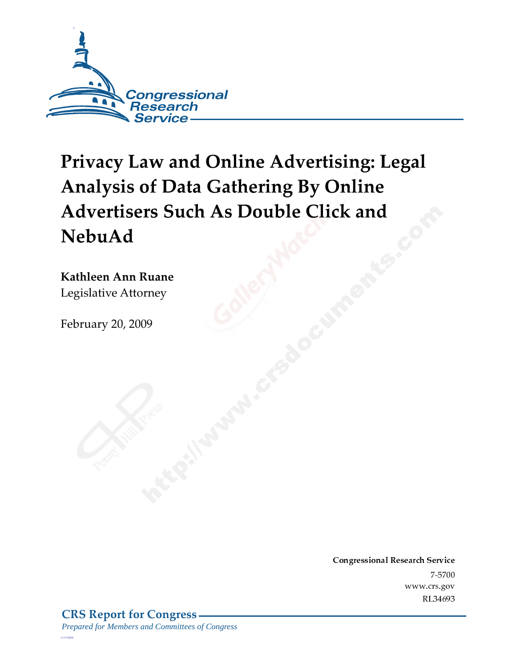

# Privacy Law and Online Advertising: Legal **Analysis of Data Gathering By Online Advertisers Such As Double Click and** NebuAd

Kathleen Ann Ruane Legislative Attorney

February 20, 2009

Conglessional Research Service -<br>...  $\frac{1}{2}$ www.crs.gov RL34693

*c11173008*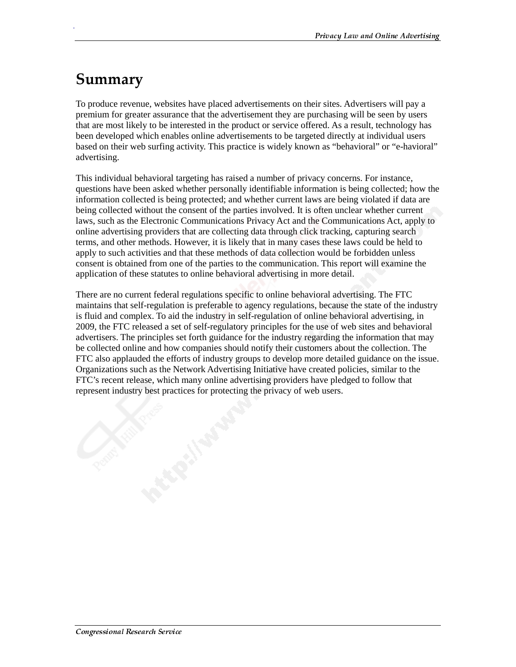# Summary

.

To produce revenue, websites have placed advertisements on their sites. Advertisers will pay a premium for greater assurance that the advertisement they are purchasing will be seen by users that are most likely to be interested in the product or service offered. As a result, technology has been developed which enables online advertisements to be targeted directly at individual users based on their web surfing activity. This practice is widely known as "behavioral" or "e-havioral" advertising.

This individual behavioral targeting has raised a number of privacy concerns. For instance, questions have been asked whether personally identifiable information is being collected; how the information collected is being protected; and whether current laws are being violated if data are being collected without the consent of the parties involved. It is often unclear whether current laws, such as the Electronic Communications Privacy Act and the Communications Act, apply to online advertising providers that are collecting data through click tracking, capturing search terms, and other methods. However, it is likely that in many cases these laws could be held to apply to such activities and that these methods of data collection would be forbidden unless consent is obtained from one of the parties to the communication. This report will examine the application of these statutes to online behavioral advertising in more detail.

There are no current federal regulations specific to online behavioral advertising. The FTC maintains that self-regulation is preferable to agency regulations, because the state of the industry is fluid and complex. To aid the industry in self-regulation of online behavioral advertising, in 2009, the FTC released a set of self-regulatory principles for the use of web sites and behavioral advertisers. The principles set forth guidance for the industry regarding the information that may be collected online and how companies should notify their customers about the collection. The FTC also applauded the efforts of industry groups to develop more detailed guidance on the issue. Organizations such as the Network Advertising Initiative have created policies, similar to the FTC's recent release, which many online advertising providers have pledged to follow that represent industry best practices for protecting the privacy of web users.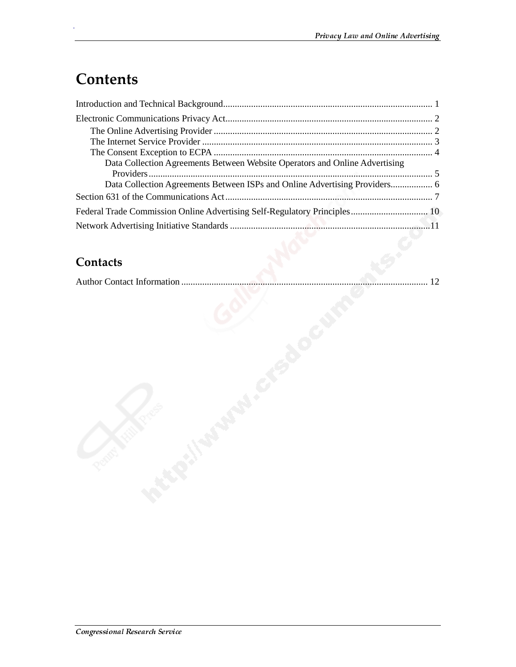# **Contents**

.

| Data Collection Agreements Between Website Operators and Online Advertising |  |
|-----------------------------------------------------------------------------|--|
|                                                                             |  |
|                                                                             |  |
|                                                                             |  |
|                                                                             |  |
|                                                                             |  |

### Contacts

|--|--|--|--|--|--|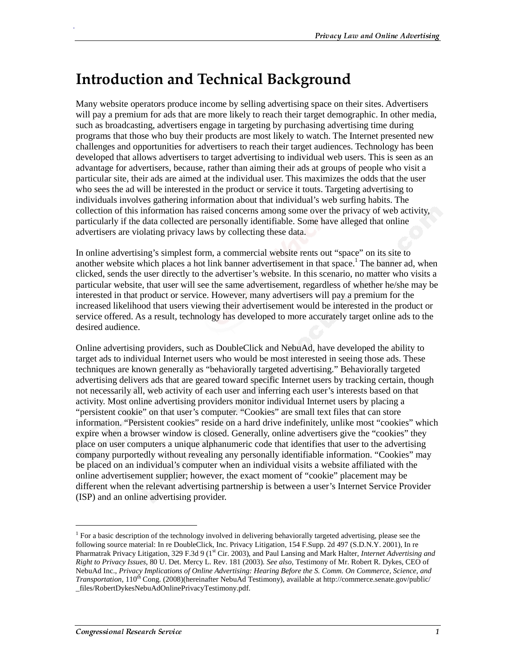### Introduction and Technical Background

Many website operators produce income by selling advertising space on their sites. Advertisers will pay a premium for ads that are more likely to reach their target demographic. In other media, such as broadcasting, advertisers engage in targeting by purchasing advertising time during programs that those who buy their products are most likely to watch. The Internet presented new challenges and opportunities for advertisers to reach their target audiences. Technology has been developed that allows advertisers to target advertising to individual web users. This is seen as an advantage for advertisers, because, rather than aiming their ads at groups of people who visit a particular site, their ads are aimed at the individual user. This maximizes the odds that the user who sees the ad will be interested in the product or service it touts. Targeting advertising to individuals involves gathering information about that individual's web surfing habits. The collection of this information has raised concerns among some over the privacy of web activity, particularly if the data collected are personally identifiable. Some have alleged that online advertisers are violating privacy laws by collecting these data.

In online advertising's simplest form, a commercial website rents out "space" on its site to another website which places a hot link banner advertisement in that space.<sup>1</sup> The banner ad, when clicked, sends the user directly to the advertiser's website. In this scenario, no matter who visits a particular website, that user will see the same advertisement, regardless of whether he/she may be interested in that product or service. However, many advertisers will pay a premium for the increased likelihood that users viewing their advertisement would be interested in the product or service offered. As a result, technology has developed to more accurately target online ads to the desired audience.

Online advertising providers, such as DoubleClick and NebuAd, have developed the ability to target ads to individual Internet users who would be most interested in seeing those ads. These techniques are known generally as "behaviorally targeted advertising." Behaviorally targeted advertising delivers ads that are geared toward specific Internet users by tracking certain, though not necessarily all, web activity of each user and inferring each user's interests based on that activity. Most online advertising providers monitor individual Internet users by placing a "persistent cookie" on that user's computer. "Cookies" are small text files that can store information. "Persistent cookies" reside on a hard drive indefinitely, unlike most "cookies" which expire when a browser window is closed. Generally, online advertisers give the "cookies" they place on user computers a unique alphanumeric code that identifies that user to the advertising company purportedly without revealing any personally identifiable information. "Cookies" may be placed on an individual's computer when an individual visits a website affiliated with the online advertisement supplier; however, the exact moment of "cookie" placement may be different when the relevant advertising partnership is between a user's Internet Service Provider (ISP) and an online advertising provider.

j

<sup>&</sup>lt;sup>1</sup> For a basic description of the technology involved in delivering behaviorally targeted advertising, please see the following source material: In re DoubleClick, Inc. Privacy Litigation, 154 F.Supp. 2d 497 (S.D.N.Y. 2001), In re Pharmatrak Privacy Litigation, 329 F.3d 9 (1<sup>st</sup> Cir. 2003), and Paul Lansing and Mark Halter, *Internet Advertising and Right to Privacy Issues*, 80 U. Det. Mercy L. Rev. 181 (2003). *See also,* Testimony of Mr. Robert R. Dykes, CEO of NebuAd Inc., *Privacy Implications of Online Advertising: Hearing Before the S. Comm. On Commerce, Science, and Transportation*, 110<sup>th</sup> Cong. (2008)(hereinafter NebuAd Testimony), available at http://commerce.senate.gov/public/ \_files/RobertDykesNebuAdOnlinePrivacyTestimony.pdf.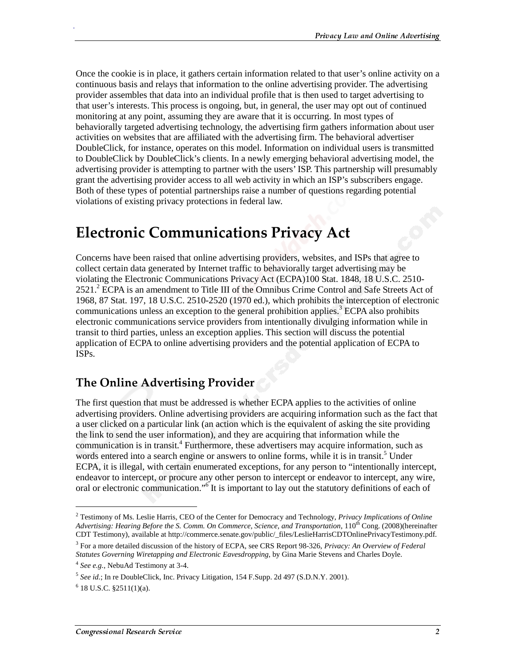Once the cookie is in place, it gathers certain information related to that user's online activity on a continuous basis and relays that information to the online advertising provider. The advertising provider assembles that data into an individual profile that is then used to target advertising to that user's interests. This process is ongoing, but, in general, the user may opt out of continued monitoring at any point, assuming they are aware that it is occurring. In most types of behaviorally targeted advertising technology, the advertising firm gathers information about user activities on websites that are affiliated with the advertising firm. The behavioral advertiser DoubleClick, for instance, operates on this model. Information on individual users is transmitted to DoubleClick by DoubleClick's clients. In a newly emerging behavioral advertising model, the advertising provider is attempting to partner with the users' ISP. This partnership will presumably grant the advertising provider access to all web activity in which an ISP's subscribers engage. Both of these types of potential partnerships raise a number of questions regarding potential violations of existing privacy protections in federal law.

### **Electronic Communications Privacy Act**

Concerns have been raised that online advertising providers, websites, and ISPs that agree to collect certain data generated by Internet traffic to behaviorally target advertising may be violating the Electronic Communications Privacy Act (ECPA)100 Stat. 1848, 18 U.S.C. 2510- 2521.<sup>2</sup> ECPA is an amendment to Title III of the Omnibus Crime Control and Safe Streets Act of 1968, 87 Stat. 197, 18 U.S.C. 2510-2520 (1970 ed.), which prohibits the interception of electronic communications unless an exception to the general prohibition applies.<sup>3</sup> ECPA also prohibits electronic communications service providers from intentionally divulging information while in transit to third parties, unless an exception applies. This section will discuss the potential application of ECPA to online advertising providers and the potential application of ECPA to ISPs.

#### **The Online Advertising Provider**

The first question that must be addressed is whether ECPA applies to the activities of online advertising providers. Online advertising providers are acquiring information such as the fact that a user clicked on a particular link (an action which is the equivalent of asking the site providing the link to send the user information), and they are acquiring that information while the communication is in transit.<sup>4</sup> Furthermore, these advertisers may acquire information, such as words entered into a search engine or answers to online forms, while it is in transit.<sup>5</sup> Under ECPA, it is illegal, with certain enumerated exceptions, for any person to "intentionally intercept, endeavor to intercept, or procure any other person to intercept or endeavor to intercept, any wire, oral or electronic communication."<sup>6</sup> It is important to lay out the statutory definitions of each of

j

<sup>2</sup> Testimony of Ms. Leslie Harris, CEO of the Center for Democracy and Technology, *Privacy Implications of Online Advertising: Hearing Before the S. Comm. On Commerce, Science, and Transportation*, 110<sup>th</sup> Cong. (2008)(hereinafter CDT Testimony), available at http://commerce.senate.gov/public/\_files/LeslieHarrisCDTOnlinePrivacyTestimony.pdf.

<sup>3</sup> For a more detailed discussion of the history of ECPA, see CRS Report 98-326, *Privacy: An Overview of Federal Statutes Governing Wiretapping and Electronic Eavesdropping*, by Gina Marie Stevens and Charles Doyle.

<sup>4</sup> *See e.g.*, NebuAd Testimony at 3-4.

<sup>5</sup> *See id.*; In re DoubleClick, Inc. Privacy Litigation, 154 F.Supp. 2d 497 (S.D.N.Y. 2001).

 $6$  18 U.S.C.  $$2511(1)(a)$ .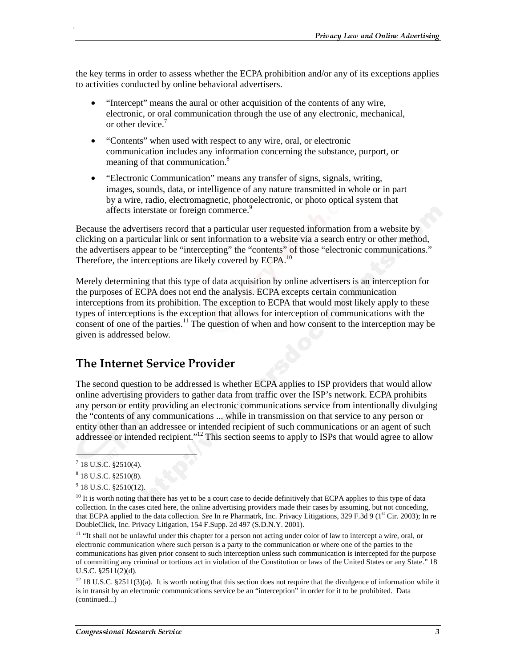the key terms in order to assess whether the ECPA prohibition and/or any of its exceptions applies to activities conducted by online behavioral advertisers.

- "Intercept" means the aural or other acquisition of the contents of any wire, electronic, or oral communication through the use of any electronic, mechanical, or other device.<sup>7</sup>
- "Contents" when used with respect to any wire, oral, or electronic communication includes any information concerning the substance, purport, or meaning of that communication.<sup>8</sup>
- "Electronic Communication" means any transfer of signs, signals, writing, images, sounds, data, or intelligence of any nature transmitted in whole or in part by a wire, radio, electromagnetic, photoelectronic, or photo optical system that affects interstate or foreign commerce.<sup>9</sup>

Because the advertisers record that a particular user requested information from a website by clicking on a particular link or sent information to a website via a search entry or other method, the advertisers appear to be "intercepting" the "contents" of those "electronic communications." Therefore, the interceptions are likely covered by ECPA.<sup>10</sup>

Merely determining that this type of data acquisition by online advertisers is an interception for the purposes of ECPA does not end the analysis. ECPA excepts certain communication interceptions from its prohibition. The exception to ECPA that would most likely apply to these types of interceptions is the exception that allows for interception of communications with the consent of one of the parties.<sup>11</sup> The question of when and how consent to the interception may be given is addressed below.

#### **The Internet Service Provider**

The second question to be addressed is whether ECPA applies to ISP providers that would allow online advertising providers to gather data from traffic over the ISP's network. ECPA prohibits any person or entity providing an electronic communications service from intentionally divulging the "contents of any communications ... while in transmission on that service to any person or entity other than an addressee or intended recipient of such communications or an agent of such addressee or intended recipient."<sup>12</sup> This section seems to apply to ISPs that would agree to allow

ļ

 $7$  18 U.S.C. §2510(4).

<sup>8</sup> 18 U.S.C. §2510(8).

 $9$  18 U.S.C. §2510(12).

 $10$  It is worth noting that there has yet to be a court case to decide definitively that ECPA applies to this type of data collection. In the cases cited here, the online advertising providers made their cases by assuming, but not conceding, that ECPA applied to the data collection. *See* In re Pharmatrk, Inc. Privacy Litigations, 329 F.3d 9 (1<sup>st</sup> Cir. 2003); In re DoubleClick, Inc. Privacy Litigation, 154 F.Supp. 2d 497 (S.D.N.Y. 2001).

 $11$  "It shall not be unlawful under this chapter for a person not acting under color of law to intercept a wire, oral, or electronic communication where such person is a party to the communication or where one of the parties to the communications has given prior consent to such interception unless such communication is intercepted for the purpose of committing any criminal or tortious act in violation of the Constitution or laws of the United States or any State." 18 U.S.C. §2511(2)(d).

 $12$  18 U.S.C. §2511(3)(a). It is worth noting that this section does not require that the divulgence of information while it is in transit by an electronic communications service be an "interception" in order for it to be prohibited. Data (continued...)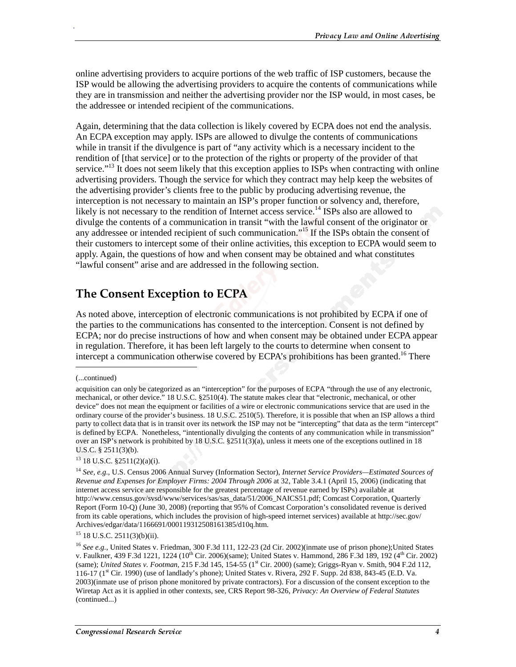online advertising providers to acquire portions of the web traffic of ISP customers, because the ISP would be allowing the advertising providers to acquire the contents of communications while they are in transmission and neither the advertising provider nor the ISP would, in most cases, be the addressee or intended recipient of the communications.

Again, determining that the data collection is likely covered by ECPA does not end the analysis. An ECPA exception may apply. ISPs are allowed to divulge the contents of communications while in transit if the divulgence is part of "any activity which is a necessary incident to the rendition of [that service] or to the protection of the rights or property of the provider of that service."<sup>13</sup> It does not seem likely that this exception applies to ISPs when contracting with online advertising providers. Though the service for which they contract may help keep the websites of the advertising provider's clients free to the public by producing advertising revenue, the interception is not necessary to maintain an ISP's proper function or solvency and, therefore, likely is not necessary to the rendition of Internet access service.<sup>14</sup> ISPs also are allowed to divulge the contents of a communication in transit "with the lawful consent of the originator or any addressee or intended recipient of such communication."<sup>15</sup> If the ISPs obtain the consent of their customers to intercept some of their online activities, this exception to ECPA would seem to apply. Again, the questions of how and when consent may be obtained and what constitutes "lawful consent" arise and are addressed in the following section.

#### The Consent Exception to ECPA

As noted above, interception of electronic communications is not prohibited by ECPA if one of the parties to the communications has consented to the interception. Consent is not defined by ECPA; nor do precise instructions of how and when consent may be obtained under ECPA appear in regulation. Therefore, it has been left largely to the courts to determine when consent to intercept a communication otherwise covered by ECPA's prohibitions has been granted.<sup>16</sup> There

j

.

13 18 U.S.C. §2511(2)(a)(i).

<sup>(...</sup>continued)

acquisition can only be categorized as an "interception" for the purposes of ECPA "through the use of any electronic, mechanical, or other device." 18 U.S.C. §2510(4). The statute makes clear that "electronic, mechanical, or other device" does not mean the equipment or facilities of a wire or electronic communications service that are used in the ordinary course of the provider's business. 18 U.S.C. 2510(5). Therefore, it is possible that when an ISP allows a third party to collect data that is in transit over its network the ISP may not be "intercepting" that data as the term "intercept" is defined by ECPA. Nonetheless, "intentionally divulging the contents of any communication while in transmission" over an ISP's network is prohibited by 18 U.S.C. §2511(3)(a), unless it meets one of the exceptions outlined in 18 U.S.C. § 2511(3)(b).

<sup>14</sup> *See, e.g.*, U.S. Census 2006 Annual Survey (Information Sector), *Internet Service Providers—Estimated Sources of Revenue and Expenses for Employer Firms: 2004 Through 2006* at 32, Table 3.4.1 (April 15, 2006) (indicating that internet access service are responsible for the greatest percentage of revenue earned by ISPs) available at http://www.census.gov/svsd/www/services/sas/sas\_data/51/2006\_NAICS51.pdf; Comcast Corporation, Quarterly Report (Form 10-Q) (June 30, 2008) (reporting that 95% of Comcast Corporation's consolidated revenue is derived from its cable operations, which includes the provision of high-speed internet services) available at http://sec.gov/ Archives/edgar/data/1166691/000119312508161385/d10q.htm.

 $15$  18 U.S.C. 2511(3)(b)(ii).

<sup>16</sup> *See e.g.*, United States v. Friedman, 300 F.3d 111, 122-23 (2d Cir. 2002)(inmate use of prison phone);United States v. Faulkner, 439 F.3d 1221, 1224 (10<sup>th</sup> Cir. 2006)(same); United States v. Hammond, 286 F.3d 189, 192 (4<sup>th</sup> Cir. 2002) (same); *United States v. Footman*, 215 F.3d 145, 154-55 (1<sup>st</sup> Cir. 2000) (same); Griggs-Ryan v. Smith, 904 F.2d 112, 116-17 (1st Cir. 1990) (use of landlady's phone); United States v. Rivera, 292 F. Supp. 2d 838, 843-45 (E.D. Va. 2003)(inmate use of prison phone monitored by private contractors). For a discussion of the consent exception to the Wiretap Act as it is applied in other contexts, see, CRS Report 98-326, *Privacy: An Overview of Federal Statutes*  (continued...)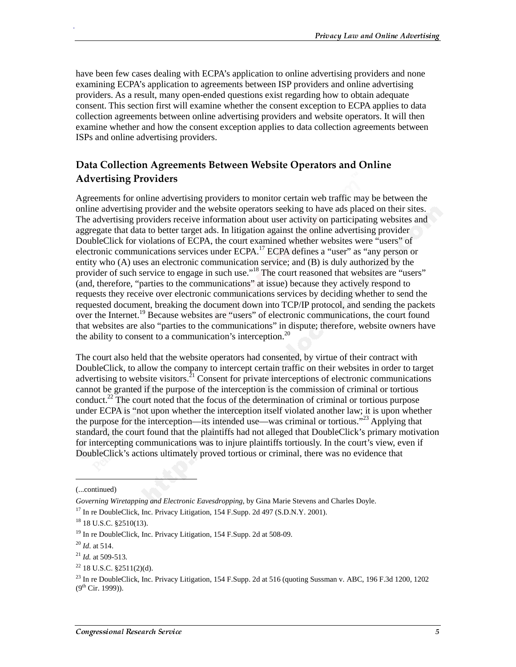have been few cases dealing with ECPA's application to online advertising providers and none examining ECPA's application to agreements between ISP providers and online advertising providers. As a result, many open-ended questions exist regarding how to obtain adequate consent. This section first will examine whether the consent exception to ECPA applies to data collection agreements between online advertising providers and website operators. It will then examine whether and how the consent exception applies to data collection agreements between ISPs and online advertising providers.

#### Data Collection Agreements Between Website Operators and Online **Advertising Providers**

Agreements for online advertising providers to monitor certain web traffic may be between the online advertising provider and the website operators seeking to have ads placed on their sites. The advertising providers receive information about user activity on participating websites and aggregate that data to better target ads. In litigation against the online advertising provider DoubleClick for violations of ECPA, the court examined whether websites were "users" of electronic communications services under ECPA.<sup>17</sup> ECPA defines a "user" as "any person or entity who (A) uses an electronic communication service; and (B) is duly authorized by the provider of such service to engage in such use."<sup>18</sup> The court reasoned that websites are "users" (and, therefore, "parties to the communications" at issue) because they actively respond to requests they receive over electronic communications services by deciding whether to send the requested document, breaking the document down into TCP/IP protocol, and sending the packets over the Internet.<sup>19</sup> Because websites are "users" of electronic communications, the court found that websites are also "parties to the communications" in dispute; therefore, website owners have the ability to consent to a communication's interception.<sup>20</sup>

The court also held that the website operators had consented, by virtue of their contract with DoubleClick, to allow the company to intercept certain traffic on their websites in order to target advertising to website visitors.<sup>21</sup> Consent for private interceptions of electronic communications cannot be granted if the purpose of the interception is the commission of criminal or tortious conduct.<sup>22</sup> The court noted that the focus of the determination of criminal or tortious purpose under ECPA is "not upon whether the interception itself violated another law; it is upon whether the purpose for the interception—its intended use—was criminal or tortious."<sup>23</sup> Applying that standard, the court found that the plaintiffs had not alleged that DoubleClick's primary motivation for intercepting communications was to injure plaintiffs tortiously. In the court's view, even if DoubleClick's actions ultimately proved tortious or criminal, there was no evidence that

j

<sup>(...</sup>continued)

*Governing Wiretapping and Electronic Eavesdropping*, by Gina Marie Stevens and Charles Doyle.

<sup>&</sup>lt;sup>17</sup> In re DoubleClick, Inc. Privacy Litigation, 154 F.Supp. 2d 497 (S.D.N.Y. 2001).

 $18$  18 U.S.C. §2510(13).

<sup>19</sup> In re DoubleClick, Inc. Privacy Litigation, 154 F.Supp. 2d at 508-09.

<sup>20</sup> *Id*. at 514.

<sup>21</sup> *Id.* at 509-513.

 $22$  18 U.S.C.  $$2511(2)(d)$ .

 $^{23}$  In re DoubleClick, Inc. Privacy Litigation, 154 F.Supp. 2d at 516 (quoting Sussman v. ABC, 196 F.3d 1200, 1202)  $(9^{th}$  Cir. 1999)).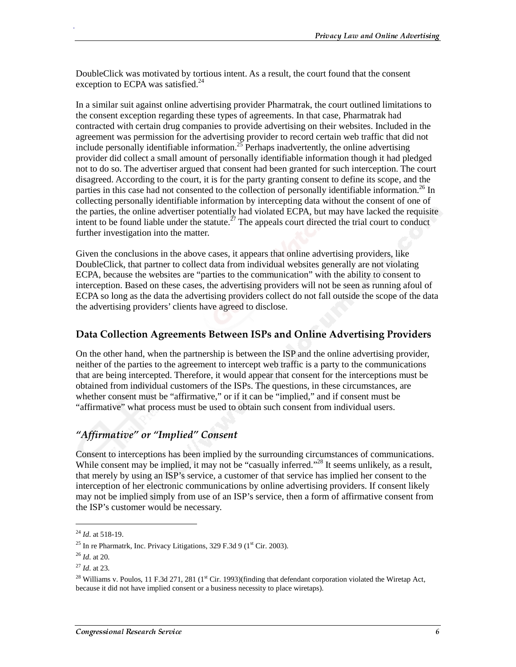DoubleClick was motivated by tortious intent. As a result, the court found that the consent exception to ECPA was satisfied.<sup>24</sup>

In a similar suit against online advertising provider Pharmatrak, the court outlined limitations to the consent exception regarding these types of agreements. In that case, Pharmatrak had contracted with certain drug companies to provide advertising on their websites. Included in the agreement was permission for the advertising provider to record certain web traffic that did not include personally identifiable information.<sup>25</sup> Perhaps inadvertently, the online advertising provider did collect a small amount of personally identifiable information though it had pledged not to do so. The advertiser argued that consent had been granted for such interception. The court disagreed. According to the court, it is for the party granting consent to define its scope, and the parties in this case had not consented to the collection of personally identifiable information.<sup>26</sup> In collecting personally identifiable information by intercepting data without the consent of one of the parties, the online advertiser potentially had violated ECPA, but may have lacked the requisite intent to be found liable under the statute.<sup>27</sup> The appeals court directed the trial court to conduct further investigation into the matter.

Given the conclusions in the above cases, it appears that online advertising providers, like DoubleClick, that partner to collect data from individual websites generally are not violating ECPA, because the websites are "parties to the communication" with the ability to consent to interception. Based on these cases, the advertising providers will not be seen as running afoul of ECPA so long as the data the advertising providers collect do not fall outside the scope of the data the advertising providers' clients have agreed to disclose.

#### Data Collection Agreements Between ISPs and Online Advertising Providers

On the other hand, when the partnership is between the ISP and the online advertising provider, neither of the parties to the agreement to intercept web traffic is a party to the communications that are being intercepted. Therefore, it would appear that consent for the interceptions must be obtained from individual customers of the ISPs. The questions, in these circumstances, are whether consent must be "affirmative," or if it can be "implied," and if consent must be "affirmative" what process must be used to obtain such consent from individual users.

#### "Affirmative" or "Implied" Consent

Consent to interceptions has been implied by the surrounding circumstances of communications. While consent may be implied, it may not be "casually inferred."<sup>28</sup> It seems unlikely, as a result, that merely by using an ISP's service, a customer of that service has implied her consent to the interception of her electronic communications by online advertising providers. If consent likely may not be implied simply from use of an ISP's service, then a form of affirmative consent from the ISP's customer would be necessary.

 $\overline{a}$ 

<sup>24</sup> *Id*. at 518-19.

<sup>&</sup>lt;sup>25</sup> In re Pharmatrk, Inc. Privacy Litigations, 329 F.3d 9 ( $1<sup>st</sup> Cir. 2003$ ).

<sup>26</sup> *Id*. at 20.

<sup>27</sup> *Id*. at 23.

<sup>&</sup>lt;sup>28</sup> Williams v. Poulos, 11 F.3d 271, 281 (1<sup>st</sup> Cir. 1993)(finding that defendant corporation violated the Wiretap Act, because it did not have implied consent or a business necessity to place wiretaps).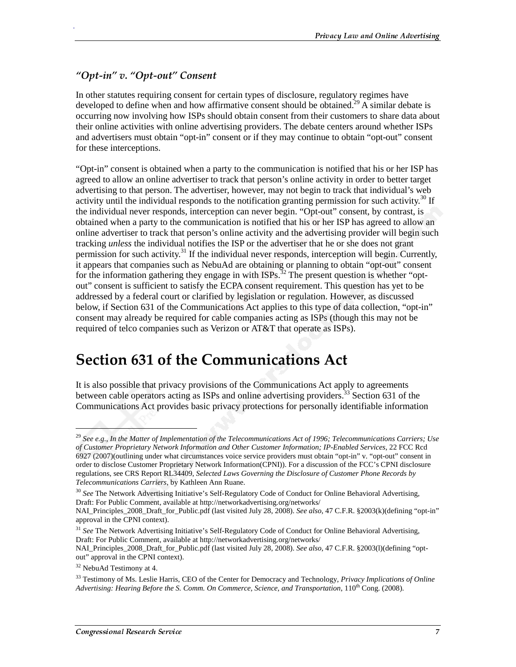#### "Opt-in" v. "Opt-out" Consent

.

In other statutes requiring consent for certain types of disclosure, regulatory regimes have developed to define when and how affirmative consent should be obtained.<sup>29</sup> A similar debate is occurring now involving how ISPs should obtain consent from their customers to share data about their online activities with online advertising providers. The debate centers around whether ISPs and advertisers must obtain "opt-in" consent or if they may continue to obtain "opt-out" consent for these interceptions.

"Opt-in" consent is obtained when a party to the communication is notified that his or her ISP has agreed to allow an online advertiser to track that person's online activity in order to better target advertising to that person. The advertiser, however, may not begin to track that individual's web activity until the individual responds to the notification granting permission for such activity.<sup>30</sup> If the individual never responds, interception can never begin. "Opt-out" consent, by contrast, is obtained when a party to the communication is notified that his or her ISP has agreed to allow an online advertiser to track that person's online activity and the advertising provider will begin such tracking *unless* the individual notifies the ISP or the advertiser that he or she does not grant permission for such activity.<sup>31</sup> If the individual never responds, interception will begin. Currently, it appears that companies such as NebuAd are obtaining or planning to obtain "opt-out" consent for the information gathering they engage in with  $ISPs$ .<sup>32</sup> The present question is whether "optout" consent is sufficient to satisfy the ECPA consent requirement. This question has yet to be addressed by a federal court or clarified by legislation or regulation. However, as discussed below, if Section 631 of the Communications Act applies to this type of data collection, "opt-in" consent may already be required for cable companies acting as ISPs (though this may not be required of telco companies such as Verizon or AT&T that operate as ISPs).

### **Section 631 of the Communications Act**

It is also possible that privacy provisions of the Communications Act apply to agreements between cable operators acting as ISPs and online advertising providers.<sup>33</sup> Section 631 of the Communications Act provides basic privacy protections for personally identifiable information

<sup>29</sup> *See e.g.*, *In the Matter of Implementation of the Telecommunications Act of 1996; Telecommunications Carriers; Use of Customer Proprietary Network Information and Other Customer Information; IP-Enabled Services*, 22 FCC Rcd 6927 (2007)(outlining under what circumstances voice service providers must obtain "opt-in" v. "opt-out" consent in order to disclose Customer Proprietary Network Information(CPNI)). For a discussion of the FCC's CPNI disclosure regulations, see CRS Report RL34409, *Selected Laws Governing the Disclosure of Customer Phone Records by Telecommunications Carriers*, by Kathleen Ann Ruane.

 $\overline{a}$ 

<sup>&</sup>lt;sup>30</sup> See The Network Advertising Initiative's Self-Regulatory Code of Conduct for Online Behavioral Advertising, Draft: For Public Comment, available at http://networkadvertising.org/networks/

NAI\_Principles\_2008\_Draft\_for\_Public.pdf (last visited July 28, 2008). *See also*, 47 C.F.R. §2003(k)(defining "opt-in" approval in the CPNI context).

<sup>&</sup>lt;sup>31</sup> See The Network Advertising Initiative's Self-Regulatory Code of Conduct for Online Behavioral Advertising, Draft: For Public Comment, available at http://networkadvertising.org/networks/

NAI\_Principles\_2008\_Draft\_for\_Public.pdf (last visited July 28, 2008). *See also*, 47 C.F.R. §2003(l)(defining "optout" approval in the CPNI context).

<sup>32</sup> NebuAd Testimony at 4.

<sup>33</sup> Testimony of Ms. Leslie Harris, CEO of the Center for Democracy and Technology, *Privacy Implications of Online*  Advertising: Hearing Before the S. Comm. On Commerce, Science, and Transportation, 110<sup>th</sup> Cong. (2008).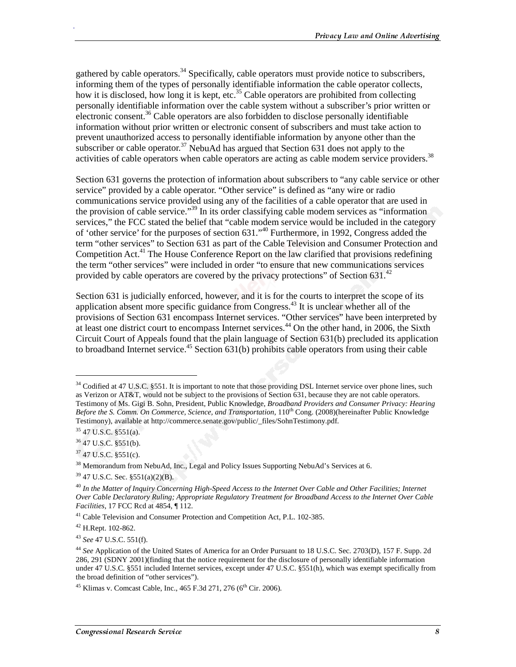gathered by cable operators.<sup>34</sup> Specifically, cable operators must provide notice to subscribers, informing them of the types of personally identifiable information the cable operator collects, how it is disclosed, how long it is kept, etc.<sup>35</sup> Cable operators are prohibited from collecting personally identifiable information over the cable system without a subscriber's prior written or electronic consent.<sup>36</sup> Cable operators are also forbidden to disclose personally identifiable information without prior written or electronic consent of subscribers and must take action to prevent unauthorized access to personally identifiable information by anyone other than the subscriber or cable operator.<sup>37</sup> NebuAd has argued that Section 631 does not apply to the activities of cable operators when cable operators are acting as cable modem service providers.<sup>38</sup>

Section 631 governs the protection of information about subscribers to "any cable service or other service" provided by a cable operator. "Other service" is defined as "any wire or radio communications service provided using any of the facilities of a cable operator that are used in the provision of cable service."39 In its order classifying cable modem services as "information services," the FCC stated the belief that "cable modem service would be included in the category of 'other service' for the purposes of section 631."40 Furthermore, in 1992, Congress added the term "other services" to Section 631 as part of the Cable Television and Consumer Protection and Competition Act.<sup>41</sup> The House Conference Report on the law clarified that provisions redefining the term "other services" were included in order "to ensure that new communications services provided by cable operators are covered by the privacy protections" of Section  $631<sup>42</sup>$ 

Section 631 is judicially enforced, however, and it is for the courts to interpret the scope of its application absent more specific guidance from Congress.43 It is unclear whether all of the provisions of Section 631 encompass Internet services. "Other services" have been interpreted by at least one district court to encompass Internet services.<sup>44</sup> On the other hand, in 2006, the Sixth Circuit Court of Appeals found that the plain language of Section 631(b) precluded its application to broadband Internet service.<sup>45</sup> Section  $631(b)$  prohibits cable operators from using their cable

 $35$  47 U.S.C. §551(a).

j

.

36 47 U.S.C. §551(b).

 $37$  47 U.S.C. §551(c).

 $34$  Codified at 47 U.S.C. §551. It is important to note that those providing DSL Internet service over phone lines, such as Verizon or AT&T, would not be subject to the provisions of Section 631, because they are not cable operators. Testimony of Ms. Gigi B. Sohn, President, Public Knowledge, *Broadband Providers and Consumer Privacy: Hearing Before the S. Comm. On Commerce, Science, and Transportation*, 110<sup>th</sup> Cong. (2008)(hereinafter Public Knowledge Testimony), available at http://commerce.senate.gov/public/\_files/SohnTestimony.pdf.

<sup>&</sup>lt;sup>38</sup> Memorandum from NebuAd, Inc., Legal and Policy Issues Supporting NebuAd's Services at 6.

 $39$  47 U.S.C. Sec. §551(a)(2)(B).

<sup>40</sup> *In the Matter of Inquiry Concerning High-Speed Access to the Internet Over Cable and Other Facilities; Internet Over Cable Declaratory Ruling; Appropriate Regulatory Treatment for Broadband Access to the Internet Over Cable Facilities*, 17 FCC Rcd at 4854, ¶ 112.

<sup>41</sup> Cable Television and Consumer Protection and Competition Act, P.L. 102-385.

 $42$  H.Rept. 102-862.

<sup>43</sup> *See* 47 U.S.C. 551(f).

<sup>44</sup> *See* Application of the United States of America for an Order Pursuant to 18 U.S.C. Sec. 2703(D), 157 F. Supp. 2d 286, 291 (SDNY 2001)(finding that the notice requirement for the disclosure of personally identifiable information under 47 U.S.C. §551 included Internet services, except under 47 U.S.C. §551(h), which was exempt specifically from the broad definition of "other services").

<sup>&</sup>lt;sup>45</sup> Klimas v. Comcast Cable, Inc.,  $465$  F.3d 271, 276 ( $6^{\text{th}}$  Cir. 2006).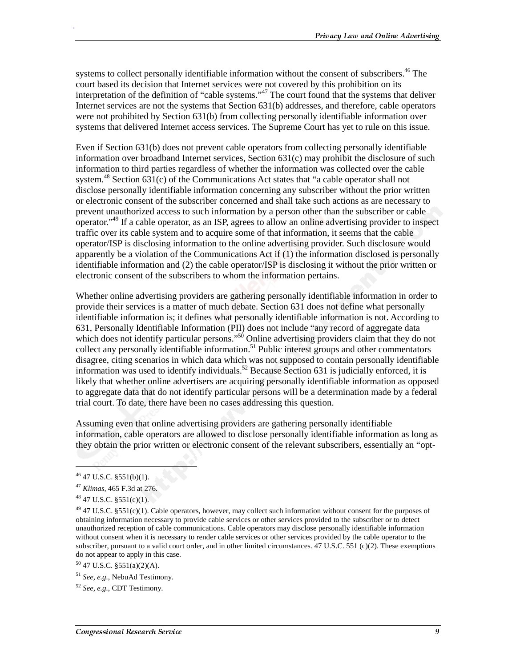systems to collect personally identifiable information without the consent of subscribers.<sup>46</sup> The court based its decision that Internet services were not covered by this prohibition on its interpretation of the definition of "cable systems."47 The court found that the systems that deliver Internet services are not the systems that Section 631(b) addresses, and therefore, cable operators were not prohibited by Section 631(b) from collecting personally identifiable information over systems that delivered Internet access services. The Supreme Court has yet to rule on this issue.

Even if Section 631(b) does not prevent cable operators from collecting personally identifiable information over broadband Internet services, Section 631(c) may prohibit the disclosure of such information to third parties regardless of whether the information was collected over the cable system.<sup>48</sup> Section  $631(c)$  of the Communications Act states that "a cable operator shall not disclose personally identifiable information concerning any subscriber without the prior written or electronic consent of the subscriber concerned and shall take such actions as are necessary to prevent unauthorized access to such information by a person other than the subscriber or cable operator."49 If a cable operator, as an ISP, agrees to allow an online advertising provider to inspect traffic over its cable system and to acquire some of that information, it seems that the cable operator/ISP is disclosing information to the online advertising provider. Such disclosure would apparently be a violation of the Communications Act if (1) the information disclosed is personally identifiable information and (2) the cable operator/ISP is disclosing it without the prior written or electronic consent of the subscribers to whom the information pertains.

Whether online advertising providers are gathering personally identifiable information in order to provide their services is a matter of much debate. Section 631 does not define what personally identifiable information is; it defines what personally identifiable information is not. According to 631, Personally Identifiable Information (PII) does not include "any record of aggregate data which does not identify particular persons."<sup>50</sup> Online advertising providers claim that they do not collect any personally identifiable information.<sup>51</sup> Public interest groups and other commentators disagree, citing scenarios in which data which was not supposed to contain personally identifiable information was used to identify individuals.<sup>52</sup> Because Section 631 is judicially enforced, it is likely that whether online advertisers are acquiring personally identifiable information as opposed to aggregate data that do not identify particular persons will be a determination made by a federal trial court. To date, there have been no cases addressing this question.

Assuming even that online advertising providers are gathering personally identifiable information, cable operators are allowed to disclose personally identifiable information as long as they obtain the prior written or electronic consent of the relevant subscribers, essentially an "opt-

j

.

 $50$  47 U.S.C. §551(a)(2)(A).

 $46$  47 U.S.C. §551(b)(1).

<sup>47</sup> *Klimas*, 465 F.3d at 276.

 $48$  47 U.S.C. §551(c)(1).

 $49$  47 U.S.C. §551(c)(1). Cable operators, however, may collect such information without consent for the purposes of obtaining information necessary to provide cable services or other services provided to the subscriber or to detect unauthorized reception of cable communications. Cable operators may disclose personally identifiable information without consent when it is necessary to render cable services or other services provided by the cable operator to the subscriber, pursuant to a valid court order, and in other limited circumstances. 47 U.S.C. 551 (c)(2). These exemptions do not appear to apply in this case.

<sup>51</sup> *See, e.g.*, NebuAd Testimony.

<sup>52</sup> *See, e.g.*, CDT Testimony.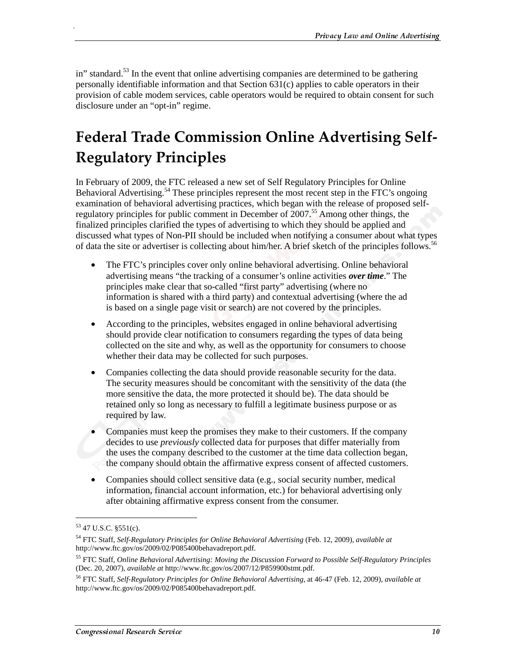in" standard.<sup>53</sup> In the event that online advertising companies are determined to be gathering personally identifiable information and that Section  $631(c)$  applies to cable operators in their provision of cable modem services, cable operators would be required to obtain consent for such disclosure under an "opt-in" regime.

# Federal Trade Commission Online Advertising Self-Regulatory Principles

In February of 2009, the FTC released a new set of Self Regulatory Principles for Online Behavioral Advertising.<sup>54</sup> These principles represent the most recent step in the FTC's ongoing examination of behavioral advertising practices, which began with the release of proposed selfregulatory principles for public comment in December of 2007.<sup>55</sup> Among other things, the finalized principles clarified the types of advertising to which they should be applied and discussed what types of Non-PII should be included when notifying a consumer about what types of data the site or advertiser is collecting about him/her. A brief sketch of the principles follows.<sup>56</sup>

- The FTC's principles cover only online behavioral advertising. Online behavioral advertising means "the tracking of a consumer's online activities *over time*." The principles make clear that so-called "first party" advertising (where no information is shared with a third party) and contextual advertising (where the ad is based on a single page visit or search) are not covered by the principles.
- According to the principles, websites engaged in online behavioral advertising should provide clear notification to consumers regarding the types of data being collected on the site and why, as well as the opportunity for consumers to choose whether their data may be collected for such purposes.
- Companies collecting the data should provide reasonable security for the data. The security measures should be concomitant with the sensitivity of the data (the more sensitive the data, the more protected it should be). The data should be retained only so long as necessary to fulfill a legitimate business purpose or as required by law.
- Companies must keep the promises they make to their customers. If the company decides to use *previously* collected data for purposes that differ materially from the uses the company described to the customer at the time data collection began, the company should obtain the affirmative express consent of affected customers.
- Companies should collect sensitive data (e.g., social security number, medical information, financial account information, etc.) for behavioral advertising only after obtaining affirmative express consent from the consumer.

j

<sup>53 47</sup> U.S.C. §551(c).

<sup>54</sup> FTC Staff, *Self-Regulatory Principles for Online Behavioral Advertising* (Feb. 12, 2009), *available at*  http://www.ftc.gov/os/2009/02/P085400behavadreport.pdf.

<sup>55</sup> FTC Staff, *Online Behavioral Advertising: Moving the Discussion Forward to Possible Self-Regulatory Principles* (Dec. 20, 2007), *available at* http://www.ftc.gov/os/2007/12/P859900stmt.pdf.

<sup>56</sup> FTC Staff, *Self-Regulatory Principles for Online Behavioral Advertising*, at 46-47 (Feb. 12, 2009), *available at*  http://www.ftc.gov/os/2009/02/P085400behavadreport.pdf.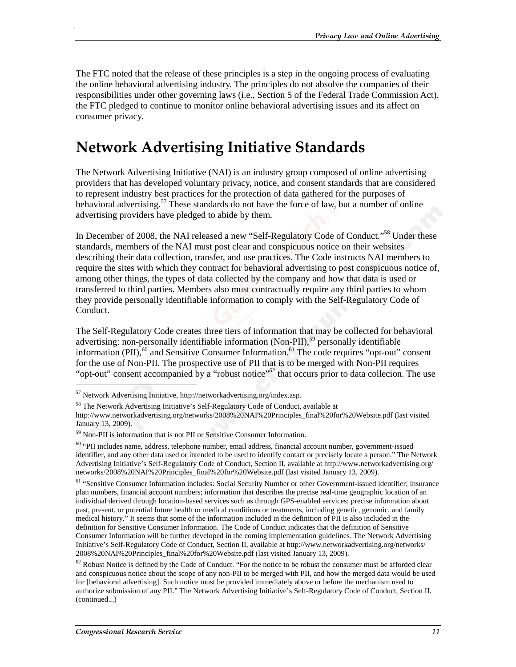The FTC noted that the release of these principles is a step in the ongoing process of evaluating the online behavioral advertising industry. The principles do not absolve the companies of their responsibilities under other governing laws (i.e., Section 5 of the Federal Trade Commission Act). the FTC pledged to continue to monitor online behavioral advertising issues and its affect on consumer privacy.

## Network Advertising Initiative Standards

The Network Advertising Initiative (NAI) is an industry group composed of online advertising providers that has developed voluntary privacy, notice, and consent standards that are considered to represent industry best practices for the protection of data gathered for the purposes of behavioral advertising.<sup>57</sup> These standards do not have the force of law, but a number of online advertising providers have pledged to abide by them.

In December of 2008, the NAI released a new "Self-Regulatory Code of Conduct."58 Under these standards, members of the NAI must post clear and conspicuous notice on their websites describing their data collection, transfer, and use practices. The Code instructs NAI members to require the sites with which they contract for behavioral advertising to post conspicuous notice of, among other things, the types of data collected by the company and how that data is used or transferred to third parties. Members also must contractually require any third parties to whom they provide personally identifiable information to comply with the Self-Regulatory Code of Conduct.

The Self-Regulatory Code creates three tiers of information that may be collected for behavioral advertising: non-personally identifiable information (Non-PII),<sup>59</sup> personally identifiable information  $(PH)$ ,<sup>60</sup> and Sensitive Consumer Information.<sup>61</sup> The code requires "opt-out" consent for the use of Non-PII. The prospective use of PII that is to be merged with Non-PII requires "opt-out" consent accompanied by a "robust notice"<sup>62</sup> that occurs prior to data collecion. The use

http://www.networkadvertising.org/networks/2008%20NAI%20Principles\_final%20for%20Website.pdf (last visited January 13, 2009).

j

<sup>57</sup> Network Advertising Initiative, http://networkadvertising.org/index.asp.

<sup>58</sup> The Network Advertising Initiative's Self-Regulatory Code of Conduct, available at

<sup>59</sup> Non-PII is information that is not PII or Sensitive Consumer Information.

<sup>60 &</sup>quot;PII includes name, address, telephone number, email address, financial account number, government-issued identifier, and any other data used or intended to be used to identify contact or precisely locate a person." The Network Advertising Initiative's Self-Regulatory Code of Conduct, Section II, available at http://www.networkadvertising.org/ networks/2008%20NAI%20Principles\_final%20for%20Website.pdf (last visited January 13, 2009).

<sup>&</sup>lt;sup>61</sup> "Sensitive Consumer Information includes: Social Security Number or other Government-issued identifier; insurance plan numbers, financial account numbers; information that describes the precise real-time geographic location of an individual derived through location-based services such as through GPS-enabled services; precise information about past, present, or potential future health or medical conditions or treatments, including genetic, genomic, and family medical history." It seems that some of the information included in the definition of PII is also included in the definition for Sensitive Consumer Information. The Code of Conduct indicates that the definition of Sensitive Consumer Information will be further developed in the coming implementation guidelines. The Network Advertising Initiative's Self-Regulatory Code of Conduct, Section II, available at http://www.networkadvertising.org/networks/ 2008%20NAI%20Principles\_final%20for%20Website.pdf (last visited January 13, 2009).

 $62$  Robust Notice is defined by the Code of Conduct. "For the notice to be robust the consumer must be afforded clear and conspicuous notice about the scope of any non-PII to be merged with PII, and how the merged data would be used for [behavioral advertising]. Such notice must be provided immediately above or before the mechanism used to authorize submission of any PII." The Network Advertising Initiative's Self-Regulatory Code of Conduct, Section II, (continued...)